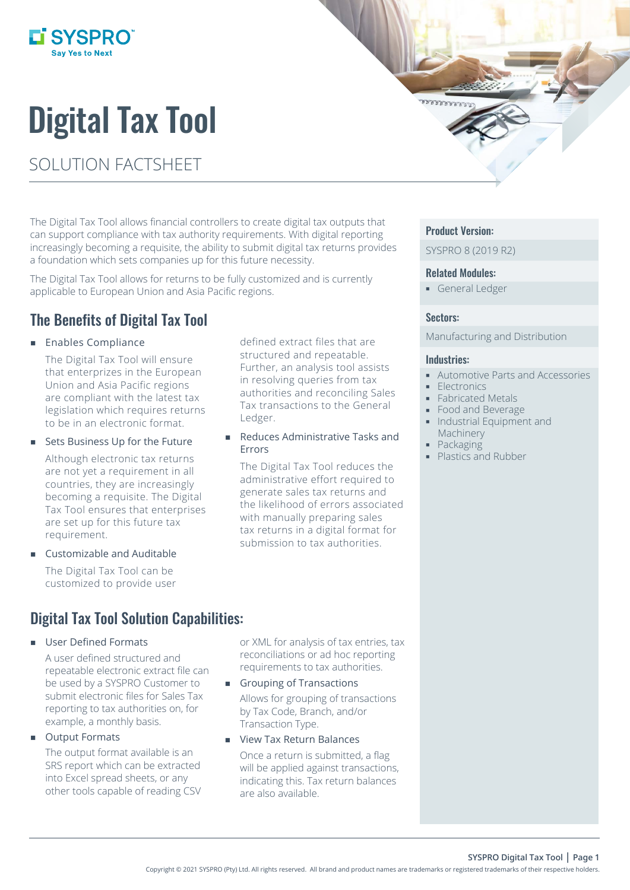

# Digital Tax Tool

# SOLUTION FACTSHEET

The Digital Tax Tool allows financial controllers to create digital tax outputs that can support compliance with tax authority requirements. With digital reporting increasingly becoming a requisite, the ability to submit digital tax returns provides a foundation which sets companies up for this future necessity.

The Digital Tax Tool allows for returns to be fully customized and is currently applicable to European Union and Asia Pacific regions.

## The Benefits of Digital Tax Tool

#### **Enables Compliance**

The Digital Tax Tool will ensure that enterprizes in the European Union and Asia Pacific regions are compliant with the latest tax legislation which requires returns to be in an electronic format.

#### Sets Business Up for the Future

Although electronic tax returns are not yet a requirement in all countries, they are increasingly becoming a requisite. The Digital Tax Tool ensures that enterprises are set up for this future tax requirement.

Customizable and Auditable

The Digital Tax Tool can be customized to provide user

## Digital Tax Tool Solution Capabilities:

#### User Defined Formats

A user defined structured and repeatable electronic extract file can be used by a SYSPRO Customer to submit electronic files for Sales Tax reporting to tax authorities on, for example, a monthly basis.

Output Formats

The output format available is an SRS report which can be extracted into Excel spread sheets, or any other tools capable of reading CSV

defined extract files that are structured and repeatable. Further, an analysis tool assists in resolving queries from tax authorities and reconciling Sales Tax transactions to the General Ledger.

 Reduces Administrative Tasks and Errors

The Digital Tax Tool reduces the administrative effort required to generate sales tax returns and the likelihood of errors associated with manually preparing sales tax returns in a digital format for submission to tax authorities.

#### Product Version:

**AAAAAA** 

SYSPRO 8 (2019 R2)

#### Related Modules:

**General Ledger** 

#### Sectors:

Manufacturing and Distribution

#### Industries:

- Automotive Parts and Accessories
- **Electronics**
- **Fabricated Metals**
- **Food and Beverage**
- **Industrial Equipment and** Machinery
- Packaging
- Plastics and Rubber

or XML for analysis of tax entries, tax reconciliations or ad hoc reporting requirements to tax authorities.

- Grouping of Transactions Allows for grouping of transactions by Tax Code, Branch, and/or Transaction Type.
- **View Tax Return Balances** Once a return is submitted, a flag will be applied against transactions, indicating this. Tax return balances are also available.

**SYSPRO Digital Tax Tool | Page 1**